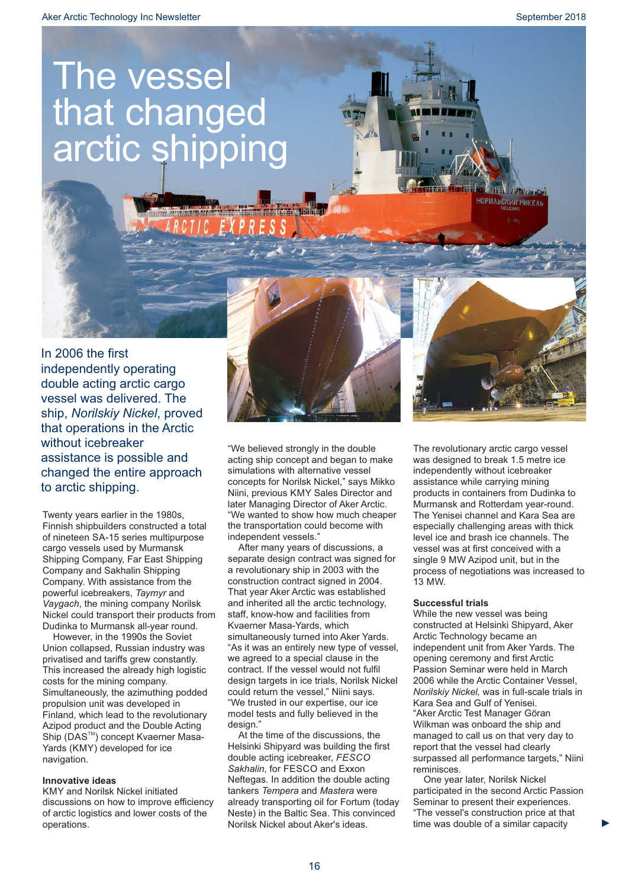# The vessel that changed arctic shipping



Twenty years earlier in the 1980s, Finnish shipbuilders constructed a total of nineteen SA-15 series multipurpose cargo vessels used by Murmansk Shipping Company, Far East Shipping Company and Sakhalin Shipping Company. With assistance from the powerful icebreakers, Taymyr and *Vaygach*, the mining company Norilsk Nickel could transport their products from Dudinka to Murmansk all-year round.

However, in the 1990s the Soviet Union collapsed, Russian industry was privatised and tariffs grew constantly. This increased the already high logistic costs for the mining company. Simultaneously, the azimuthing podded propulsion unit was developed in Finland, which lead to the revolutionary Azipod product and the Double Acting Ship (DAS<sup>™</sup>) concept Kvaerner Masa-Yards (KMY) developed for ice navigation.

## **Innovative ideas**

KMY and Norilsk Nickel initiated discussions on how to improve efficiency of arctic logistics and lower costs of the operations.



later Managing Director of Aker Arctic. "We wanted to show how much cheaper the transportation could become with independent vessels."

After many years of discussions, a separate design contract was signed for a revolutionary ship in 2003 with the construction contract signed in 2004. That year Aker Arctic was established and inherited all the arctic technology, staff, know-how and facilities from Kvaerner Masa-Yards, which simultaneously turned into Aker Yards. "As it was an entirely new type of vessel, we agreed to a special clause in the contract. If the vessel would not fulfil design targets in ice trials, Norilsk Nickel could return the vessel," Niini says. "We trusted in our expertise, our ice model tests and fully believed in the design."

At the time of the discussions, the Helsinki Shipyard was building the first double acting icebreaker, *FESCO Sakhalin*, for FESCO and Exxon Neftegas. In addition the double acting tankers Tempera and Mastera were already transporting oil for Fortum (today Neste) in the Baltic Sea. This convinced Norilsk Nickel about Aker's ideas.

The revolutionary arctic cargo vessel was designed to break 1.5 metre ice independently without icebreaker assistance while carrying mining products in containers from Dudinka to Murmansk and Rotterdam year-round. The Yenisei channel and Kara Sea are especially challenging areas with thick level ice and brash ice channels. The vessel was at first conceived with a single 9 MW Azipod unit, but in the process of negotiations was increased to 13 MW.

## **Successful trials**

While the new vessel was being constructed at Helsinki Shipyard, Aker Arctic Technology became an independent unit from Aker Yards. The opening ceremony and first Arctic Passion Seminar were held in March 2006 while the Arctic Container Vessel, *Norilskiy Nickel,* was in full-scale trials in Kara Sea and Gulf of Yenisei. "Aker Arctic Test Manager Göran Wilkman was onboard the ship and managed to call us on that very day to report that the vessel had clearly surpassed all performance targets," Niini reminisces.

One year later, Norilsk Nickel participated in the second Arctic Passion Seminar to present their experiences. "The vessel's construction price at that time was double of a similar capacity